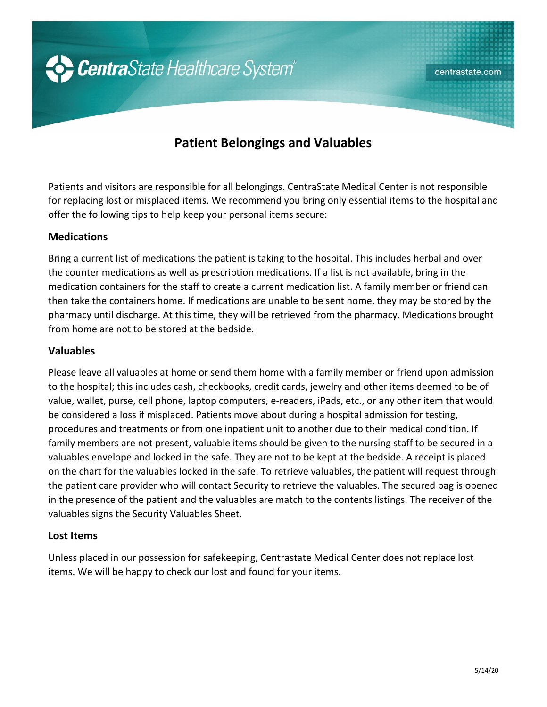

# **Patient Belongings and Valuables**

Patients and visitors are responsible for all belongings. CentraState Medical Center is not responsible for replacing lost or misplaced items. We recommend you bring only essential items to the hospital and offer the following tips to help keep your personal items secure:

## **Medications**

Bring a current list of medications the patient is taking to the hospital. This includes herbal and over the counter medications as well as prescription medications. If a list is not available, bring in the medication containers for the staff to create a current medication list. A family member or friend can then take the containers home. If medications are unable to be sent home, they may be stored by the pharmacy until discharge. At this time, they will be retrieved from the pharmacy. Medications brought from home are not to be stored at the bedside.

### **Valuables**

Please leave all valuables at home or send them home with a family member or friend upon admission to the hospital; this includes cash, checkbooks, credit cards, jewelry and other items deemed to be of value, wallet, purse, cell phone, laptop computers, e-readers, iPads, etc., or any other item that would be considered a loss if misplaced. Patients move about during a hospital admission for testing, procedures and treatments or from one inpatient unit to another due to their medical condition. If family members are not present, valuable items should be given to the nursing staff to be secured in a valuables envelope and locked in the safe. They are not to be kept at the bedside. A receipt is placed on the chart for the valuables locked in the safe. To retrieve valuables, the patient will request through the patient care provider who will contact Security to retrieve the valuables. The secured bag is opened in the presence of the patient and the valuables are match to the contents listings. The receiver of the valuables signs the Security Valuables Sheet.

#### **Lost Items**

Unless placed in our possession for safekeeping, Centrastate Medical Center does not replace lost items. We will be happy to check our lost and found for your items.